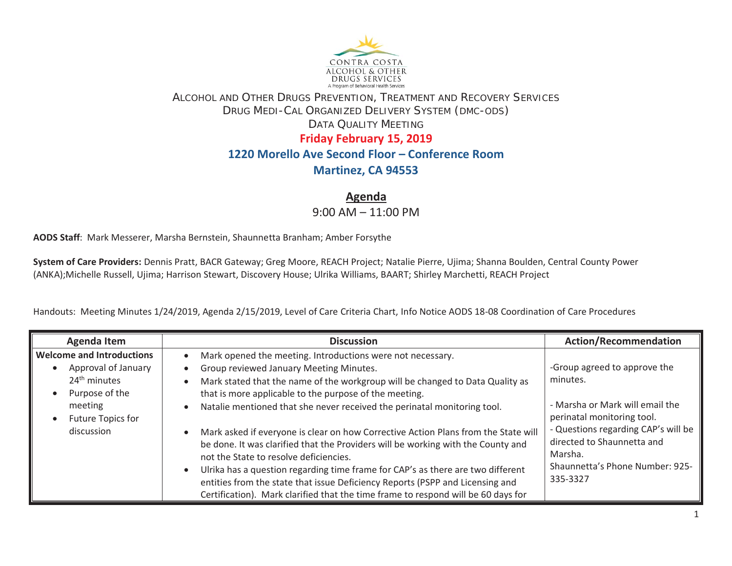

## ALCOHOL AND OTHER DRUGS PREVENTION, TREATMENT AND RECOVERY SERVICES DRUG MEDI-CAL ORGANIZED DELIVERY SYSTEM (DMC-ODS) DATA QUALITY MEETING**Friday February 15, 2019 1220 Morello Ave Second Floor – Conference Room**

## **Martinez, CA 94553**

**Agenda** 

9:00 AM – 11:00 PM

**AODS Staff**: Mark Messerer, Marsha Bernstein, Shaunnetta Branham; Amber Forsythe

**System of Care Providers:** Dennis Pratt, BACR Gateway; Greg Moore, REACH Project; Natalie Pierre, Ujima; Shanna Boulden, Central County Power (ANKA);Michelle Russell, Ujima; Harrison Stewart, Discovery House; Ulrika Williams, BAART; Shirley Marchetti, REACH Project

Handouts: Meeting Minutes 1/24/2019, Agenda 2/15/2019, Level of Care Criteria Chart, Info Notice AODS 18-08 Coordination of Care Procedures

| <b>Agenda Item</b>                                                                                    | <b>Discussion</b>                                                                                                                                                                                                                                                                                                                                                                                                                                                                                                                                     | <b>Action/Recommendation</b>                                                                                                                                                                                                             |
|-------------------------------------------------------------------------------------------------------|-------------------------------------------------------------------------------------------------------------------------------------------------------------------------------------------------------------------------------------------------------------------------------------------------------------------------------------------------------------------------------------------------------------------------------------------------------------------------------------------------------------------------------------------------------|------------------------------------------------------------------------------------------------------------------------------------------------------------------------------------------------------------------------------------------|
| <b>Welcome and Introductions</b><br>Approval of January<br>24 <sup>th</sup> minutes<br>Purpose of the | Mark opened the meeting. Introductions were not necessary.<br>Group reviewed January Meeting Minutes.<br>Mark stated that the name of the workgroup will be changed to Data Quality as<br>that is more applicable to the purpose of the meeting.                                                                                                                                                                                                                                                                                                      | -Group agreed to approve the<br>minutes.<br>- Marsha or Mark will email the<br>perinatal monitoring tool.<br>- Questions regarding CAP's will be<br>directed to Shaunnetta and<br>Marsha.<br>Shaunnetta's Phone Number: 925-<br>335-3327 |
| meeting<br>Future Topics for<br>discussion                                                            | Natalie mentioned that she never received the perinatal monitoring tool.<br>Mark asked if everyone is clear on how Corrective Action Plans from the State will<br>be done. It was clarified that the Providers will be working with the County and<br>not the State to resolve deficiencies.<br>Ulrika has a question regarding time frame for CAP's as there are two different<br>entities from the state that issue Deficiency Reports (PSPP and Licensing and<br>Certification). Mark clarified that the time frame to respond will be 60 days for |                                                                                                                                                                                                                                          |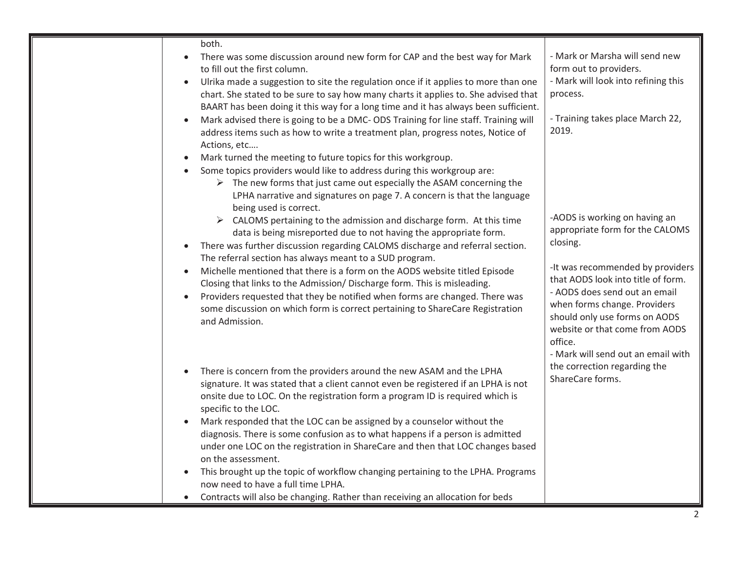| both.                                                                                                                                                 |                                     |
|-------------------------------------------------------------------------------------------------------------------------------------------------------|-------------------------------------|
| There was some discussion around new form for CAP and the best way for Mark                                                                           | - Mark or Marsha will send new      |
| to fill out the first column.                                                                                                                         | form out to providers.              |
| Ulrika made a suggestion to site the regulation once if it applies to more than one<br>$\bullet$                                                      | - Mark will look into refining this |
| chart. She stated to be sure to say how many charts it applies to. She advised that                                                                   | process.                            |
| BAART has been doing it this way for a long time and it has always been sufficient.                                                                   |                                     |
| Mark advised there is going to be a DMC- ODS Training for line staff. Training will                                                                   | - Training takes place March 22,    |
| address items such as how to write a treatment plan, progress notes, Notice of                                                                        | 2019.                               |
| Actions, etc                                                                                                                                          |                                     |
| Mark turned the meeting to future topics for this workgroup.                                                                                          |                                     |
| Some topics providers would like to address during this workgroup are:<br>٠                                                                           |                                     |
| $\triangleright$ The new forms that just came out especially the ASAM concerning the                                                                  |                                     |
| LPHA narrative and signatures on page 7. A concern is that the language                                                                               |                                     |
| being used is correct.                                                                                                                                | -AODS is working on having an       |
| $\triangleright$ CALOMS pertaining to the admission and discharge form. At this time                                                                  | appropriate form for the CALOMS     |
| data is being misreported due to not having the appropriate form.                                                                                     | closing.                            |
| There was further discussion regarding CALOMS discharge and referral section.<br>$\bullet$<br>The referral section has always meant to a SUD program. |                                     |
| Michelle mentioned that there is a form on the AODS website titled Episode                                                                            | -It was recommended by providers    |
| $\bullet$<br>Closing that links to the Admission/ Discharge form. This is misleading.                                                                 | that AODS look into title of form.  |
| Providers requested that they be notified when forms are changed. There was<br>$\bullet$                                                              | - AODS does send out an email       |
| some discussion on which form is correct pertaining to ShareCare Registration                                                                         | when forms change. Providers        |
| and Admission.                                                                                                                                        | should only use forms on AODS       |
|                                                                                                                                                       | website or that come from AODS      |
|                                                                                                                                                       | office.                             |
|                                                                                                                                                       | - Mark will send out an email with  |
| There is concern from the providers around the new ASAM and the LPHA                                                                                  | the correction regarding the        |
| signature. It was stated that a client cannot even be registered if an LPHA is not                                                                    | ShareCare forms.                    |
| onsite due to LOC. On the registration form a program ID is required which is                                                                         |                                     |
| specific to the LOC.                                                                                                                                  |                                     |
| Mark responded that the LOC can be assigned by a counselor without the                                                                                |                                     |
| diagnosis. There is some confusion as to what happens if a person is admitted                                                                         |                                     |
| under one LOC on the registration in ShareCare and then that LOC changes based                                                                        |                                     |
| on the assessment.                                                                                                                                    |                                     |
| This brought up the topic of workflow changing pertaining to the LPHA. Programs<br>$\bullet$                                                          |                                     |
| now need to have a full time LPHA.                                                                                                                    |                                     |
| Contracts will also be changing. Rather than receiving an allocation for beds<br>$\bullet$                                                            |                                     |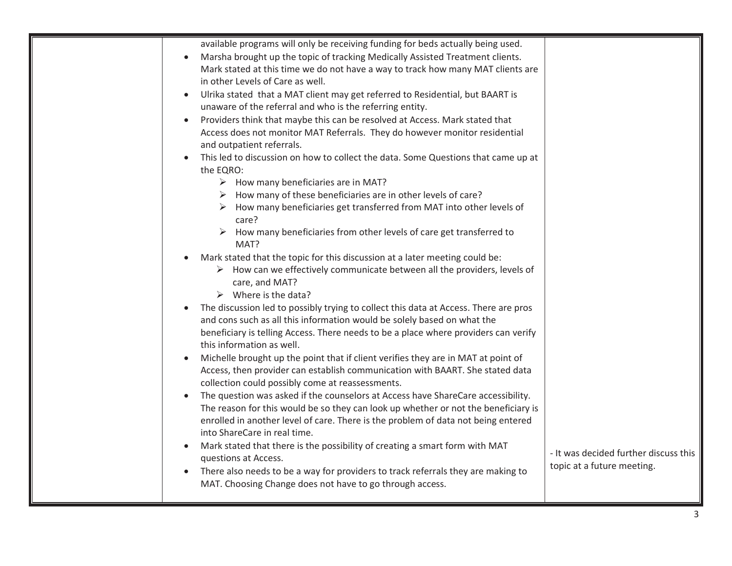| available programs will only be receiving funding for beds actually being used.                                   |                                       |
|-------------------------------------------------------------------------------------------------------------------|---------------------------------------|
| Marsha brought up the topic of tracking Medically Assisted Treatment clients.                                     |                                       |
| Mark stated at this time we do not have a way to track how many MAT clients are                                   |                                       |
| in other Levels of Care as well.                                                                                  |                                       |
| Ulrika stated that a MAT client may get referred to Residential, but BAART is                                     |                                       |
| unaware of the referral and who is the referring entity.                                                          |                                       |
| Providers think that maybe this can be resolved at Access. Mark stated that                                       |                                       |
| Access does not monitor MAT Referrals. They do however monitor residential                                        |                                       |
| and outpatient referrals.                                                                                         |                                       |
| This led to discussion on how to collect the data. Some Questions that came up at                                 |                                       |
| the EQRO:                                                                                                         |                                       |
| $\triangleright$ How many beneficiaries are in MAT?                                                               |                                       |
| $\triangleright$ How many of these beneficiaries are in other levels of care?                                     |                                       |
| $\triangleright$ How many beneficiaries get transferred from MAT into other levels of                             |                                       |
| care?                                                                                                             |                                       |
| $\triangleright$ How many beneficiaries from other levels of care get transferred to                              |                                       |
| MAT?                                                                                                              |                                       |
| Mark stated that the topic for this discussion at a later meeting could be:                                       |                                       |
| How can we effectively communicate between all the providers, levels of                                           |                                       |
| care, and MAT?                                                                                                    |                                       |
| $\triangleright$ Where is the data?                                                                               |                                       |
| The discussion led to possibly trying to collect this data at Access. There are pros                              |                                       |
| and cons such as all this information would be solely based on what the                                           |                                       |
| beneficiary is telling Access. There needs to be a place where providers can verify                               |                                       |
| this information as well.                                                                                         |                                       |
| Michelle brought up the point that if client verifies they are in MAT at point of                                 |                                       |
| Access, then provider can establish communication with BAART. She stated data                                     |                                       |
| collection could possibly come at reassessments.                                                                  |                                       |
| The question was asked if the counselors at Access have ShareCare accessibility.                                  |                                       |
| The reason for this would be so they can look up whether or not the beneficiary is                                |                                       |
| enrolled in another level of care. There is the problem of data not being entered<br>into ShareCare in real time. |                                       |
|                                                                                                                   |                                       |
| Mark stated that there is the possibility of creating a smart form with MAT<br>questions at Access.               | - It was decided further discuss this |
| There also needs to be a way for providers to track referrals they are making to                                  | topic at a future meeting.            |
| MAT. Choosing Change does not have to go through access.                                                          |                                       |
|                                                                                                                   |                                       |
|                                                                                                                   |                                       |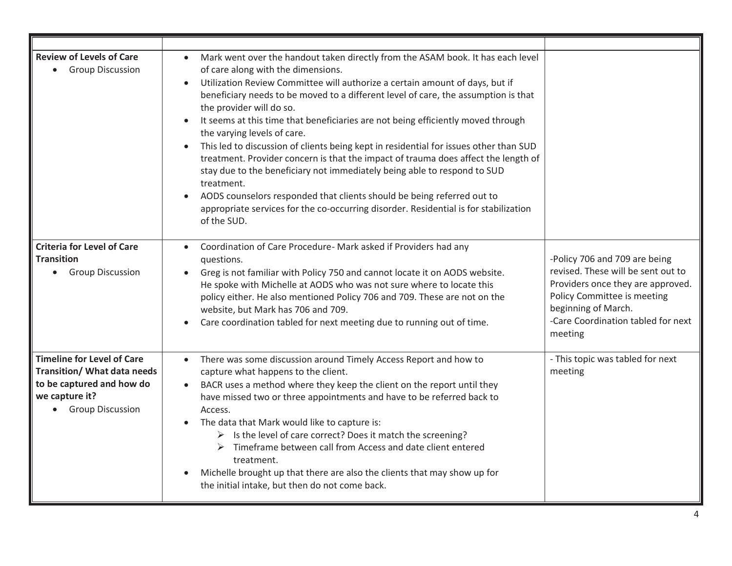| <b>Review of Levels of Care</b><br><b>Group Discussion</b>                                                                            | Mark went over the handout taken directly from the ASAM book. It has each level<br>of care along with the dimensions.<br>Utilization Review Committee will authorize a certain amount of days, but if<br>beneficiary needs to be moved to a different level of care, the assumption is that<br>the provider will do so.<br>It seems at this time that beneficiaries are not being efficiently moved through<br>the varying levels of care.<br>This led to discussion of clients being kept in residential for issues other than SUD<br>treatment. Provider concern is that the impact of trauma does affect the length of<br>stay due to the beneficiary not immediately being able to respond to SUD<br>treatment.<br>AODS counselors responded that clients should be being referred out to<br>appropriate services for the co-occurring disorder. Residential is for stabilization<br>of the SUD. |                                                                                                                                                                                                                 |
|---------------------------------------------------------------------------------------------------------------------------------------|------------------------------------------------------------------------------------------------------------------------------------------------------------------------------------------------------------------------------------------------------------------------------------------------------------------------------------------------------------------------------------------------------------------------------------------------------------------------------------------------------------------------------------------------------------------------------------------------------------------------------------------------------------------------------------------------------------------------------------------------------------------------------------------------------------------------------------------------------------------------------------------------------|-----------------------------------------------------------------------------------------------------------------------------------------------------------------------------------------------------------------|
| <b>Criteria for Level of Care</b><br><b>Transition</b><br><b>Group Discussion</b>                                                     | Coordination of Care Procedure- Mark asked if Providers had any<br>questions.<br>Greg is not familiar with Policy 750 and cannot locate it on AODS website.<br>He spoke with Michelle at AODS who was not sure where to locate this<br>policy either. He also mentioned Policy 706 and 709. These are not on the<br>website, but Mark has 706 and 709.<br>Care coordination tabled for next meeting due to running out of time.                                                                                                                                                                                                                                                                                                                                                                                                                                                                      | -Policy 706 and 709 are being<br>revised. These will be sent out to<br>Providers once they are approved.<br>Policy Committee is meeting<br>beginning of March.<br>-Care Coordination tabled for next<br>meeting |
| <b>Timeline for Level of Care</b><br>Transition/ What data needs<br>to be captured and how do<br>we capture it?<br>• Group Discussion | There was some discussion around Timely Access Report and how to<br>$\bullet$<br>capture what happens to the client.<br>BACR uses a method where they keep the client on the report until they<br>have missed two or three appointments and have to be referred back to<br>Access.<br>The data that Mark would like to capture is:<br>> Is the level of care correct? Does it match the screening?<br>$\triangleright$ Timeframe between call from Access and date client entered<br>treatment.<br>Michelle brought up that there are also the clients that may show up for<br>the initial intake, but then do not come back.                                                                                                                                                                                                                                                                        | - This topic was tabled for next<br>meeting                                                                                                                                                                     |